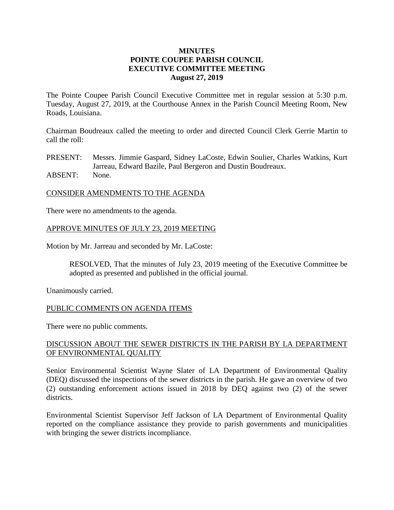#### **MINUTES POINTE COUPEE PARISH COUNCIL EXECUTIVE COMMITTEE MEETING August 27, 2019**

The Pointe Coupee Parish Council Executive Committee met in regular session at 5:30 p.m. Tuesday, August 27, 2019, at the Courthouse Annex in the Parish Council Meeting Room, New Roads, Louisiana.

Chairman Boudreaux called the meeting to order and directed Council Clerk Gerrie Martin to call the roll:

PRESENT: Messrs. Jimmie Gaspard, Sidney LaCoste, Edwin Soulier, Charles Watkins, Kurt Jarreau, Edward Bazile, Paul Bergeron and Dustin Boudreaux. ABSENT: None.

#### CONSIDER AMENDMENTS TO THE AGENDA

There were no amendments to the agenda.

#### APPROVE MINUTES OF JULY 23, 2019 MEETING

Motion by Mr. Jarreau and seconded by Mr. LaCoste:

RESOLVED, That the minutes of July 23, 2019 meeting of the Executive Committee be adopted as presented and published in the official journal.

Unanimously carried.

#### PUBLIC COMMENTS ON AGENDA ITEMS

There were no public comments.

## DISCUSSION ABOUT THE SEWER DISTRICTS IN THE PARISH BY LA DEPARTMENT OF ENVIRONMENTAL QUALITY

Senior Environmental Scientist Wayne Slater of LA Department of Environmental Quality (DEQ) discussed the inspections of the sewer districts in the parish. He gave an overview of two (2) outstanding enforcement actions issued in 2018 by DEQ against two (2) of the sewer districts.

Environmental Scientist Supervisor Jeff Jackson of LA Department of Environmental Quality reported on the compliance assistance they provide to parish governments and municipalities with bringing the sewer districts incompliance.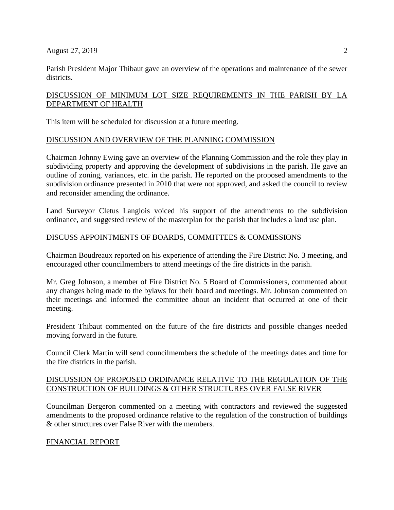Parish President Major Thibaut gave an overview of the operations and maintenance of the sewer districts.

# DISCUSSION OF MINIMUM LOT SIZE REQUIREMENTS IN THE PARISH BY LA DEPARTMENT OF HEALTH

This item will be scheduled for discussion at a future meeting.

## DISCUSSION AND OVERVIEW OF THE PLANNING COMMISSION

Chairman Johnny Ewing gave an overview of the Planning Commission and the role they play in subdividing property and approving the development of subdivisions in the parish. He gave an outline of zoning, variances, etc. in the parish. He reported on the proposed amendments to the subdivision ordinance presented in 2010 that were not approved, and asked the council to review and reconsider amending the ordinance.

Land Surveyor Cletus Langlois voiced his support of the amendments to the subdivision ordinance, and suggested review of the masterplan for the parish that includes a land use plan.

## DISCUSS APPOINTMENTS OF BOARDS, COMMITTEES & COMMISSIONS

Chairman Boudreaux reported on his experience of attending the Fire District No. 3 meeting, and encouraged other councilmembers to attend meetings of the fire districts in the parish.

Mr. Greg Johnson, a member of Fire District No. 5 Board of Commissioners, commented about any changes being made to the bylaws for their board and meetings. Mr. Johnson commented on their meetings and informed the committee about an incident that occurred at one of their meeting.

President Thibaut commented on the future of the fire districts and possible changes needed moving forward in the future.

Council Clerk Martin will send councilmembers the schedule of the meetings dates and time for the fire districts in the parish.

# DISCUSSION OF PROPOSED ORDINANCE RELATIVE TO THE REGULATION OF THE CONSTRUCTION OF BUILDINGS & OTHER STRUCTURES OVER FALSE RIVER

Councilman Bergeron commented on a meeting with contractors and reviewed the suggested amendments to the proposed ordinance relative to the regulation of the construction of buildings & other structures over False River with the members.

# FINANCIAL REPORT